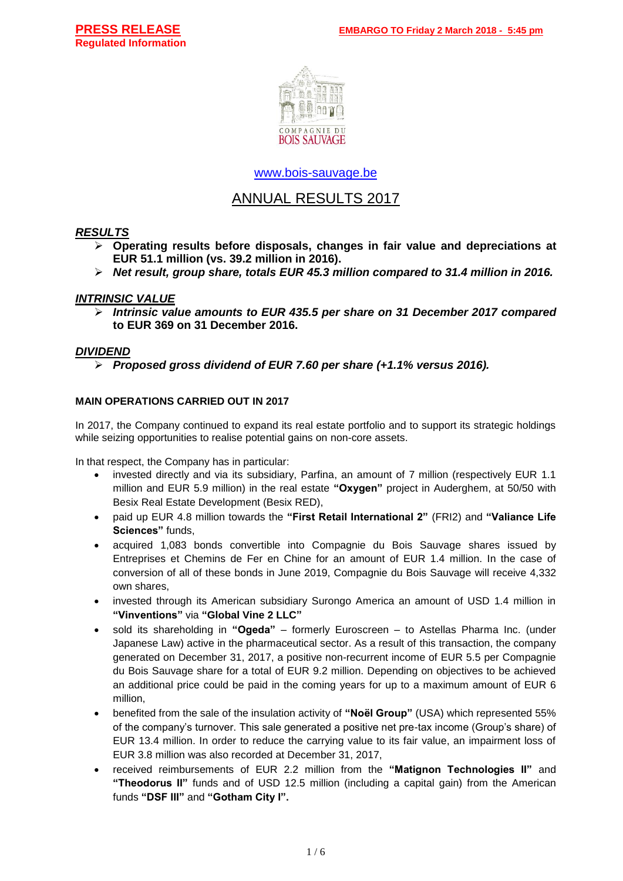

[www.bois-sauvage.be](http://www.bois-sauvage.be/)

## ANNUAL RESULTS 2017

## *RESULTS*

- ➢ **Operating results before disposals, changes in fair value and depreciations at EUR 51.1 million (vs. 39.2 million in 2016).**
- ➢ *Net result, group share, totals EUR 45.3 million compared to 31.4 million in 2016.*

## *INTRINSIC VALUE*

➢ *Intrinsic value amounts to EUR 435.5 per share on 31 December 2017 compared*  **to EUR 369 on 31 December 2016.**

## *DIVIDEND*

➢ *Proposed gross dividend of EUR 7.60 per share (+1.1% versus 2016).*

## **MAIN OPERATIONS CARRIED OUT IN 2017**

In 2017, the Company continued to expand its real estate portfolio and to support its strategic holdings while seizing opportunities to realise potential gains on non-core assets.

In that respect, the Company has in particular:

- invested directly and via its subsidiary, Parfina, an amount of 7 million (respectively EUR 1.1 million and EUR 5.9 million) in the real estate **"Oxygen"** project in Auderghem, at 50/50 with Besix Real Estate Development (Besix RED),
- paid up EUR 4.8 million towards the **"First Retail International 2"** (FRI2) and **"Valiance Life Sciences"** funds,
- acquired 1,083 bonds convertible into Compagnie du Bois Sauvage shares issued by Entreprises et Chemins de Fer en Chine for an amount of EUR 1.4 million. In the case of conversion of all of these bonds in June 2019, Compagnie du Bois Sauvage will receive 4,332 own shares,
- invested through its American subsidiary Surongo America an amount of USD 1.4 million in **"Vinventions"** via **"Global Vine 2 LLC"**
- sold its shareholding in **"Ogeda"** formerly Euroscreen to Astellas Pharma Inc. (under Japanese Law) active in the pharmaceutical sector. As a result of this transaction, the company generated on December 31, 2017, a positive non-recurrent income of EUR 5.5 per Compagnie du Bois Sauvage share for a total of EUR 9.2 million. Depending on objectives to be achieved an additional price could be paid in the coming years for up to a maximum amount of EUR 6 million,
- benefited from the sale of the insulation activity of **"Noël Group"** (USA) which represented 55% of the company's turnover. This sale generated a positive net pre-tax income (Group's share) of EUR 13.4 million. In order to reduce the carrying value to its fair value, an impairment loss of EUR 3.8 million was also recorded at December 31, 2017,
- received reimbursements of EUR 2.2 million from the **"Matignon Technologies II"** and **"Theodorus II"** funds and of USD 12.5 million (including a capital gain) from the American funds **"DSF III"** and **"Gotham City I".**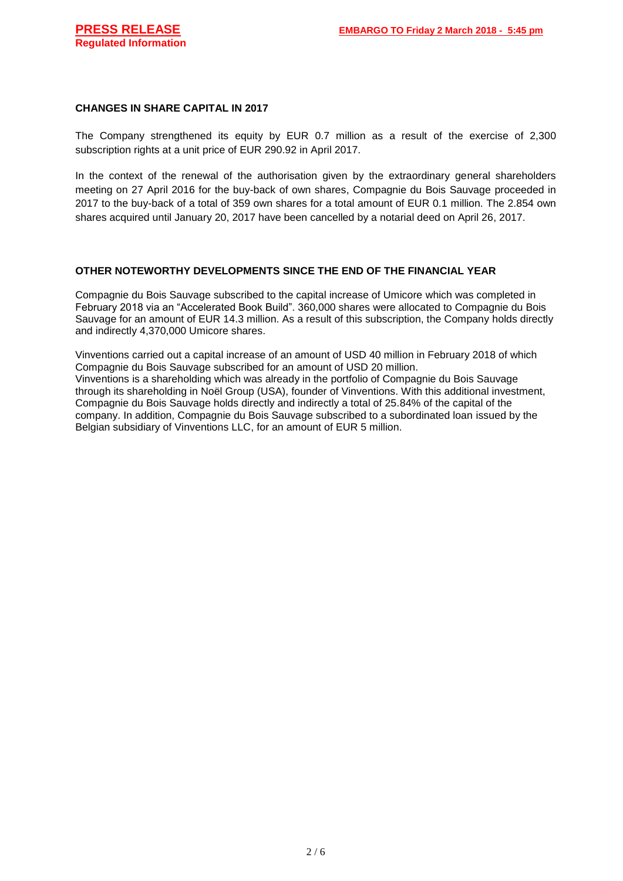#### **CHANGES IN SHARE CAPITAL IN 2017**

The Company strengthened its equity by EUR 0.7 million as a result of the exercise of 2,300 subscription rights at a unit price of EUR 290.92 in April 2017.

In the context of the renewal of the authorisation given by the extraordinary general shareholders meeting on 27 April 2016 for the buy-back of own shares, Compagnie du Bois Sauvage proceeded in 2017 to the buy-back of a total of 359 own shares for a total amount of EUR 0.1 million. The 2.854 own shares acquired until January 20, 2017 have been cancelled by a notarial deed on April 26, 2017.

#### **OTHER NOTEWORTHY DEVELOPMENTS SINCE THE END OF THE FINANCIAL YEAR**

Compagnie du Bois Sauvage subscribed to the capital increase of Umicore which was completed in February 2018 via an "Accelerated Book Build". 360,000 shares were allocated to Compagnie du Bois Sauvage for an amount of EUR 14.3 million. As a result of this subscription, the Company holds directly and indirectly 4,370,000 Umicore shares.

Vinventions carried out a capital increase of an amount of USD 40 million in February 2018 of which Compagnie du Bois Sauvage subscribed for an amount of USD 20 million. Vinventions is a shareholding which was already in the portfolio of Compagnie du Bois Sauvage through its shareholding in Noël Group (USA), founder of Vinventions. With this additional investment, Compagnie du Bois Sauvage holds directly and indirectly a total of 25.84% of the capital of the company. In addition, Compagnie du Bois Sauvage subscribed to a subordinated loan issued by the Belgian subsidiary of Vinventions LLC, for an amount of EUR 5 million.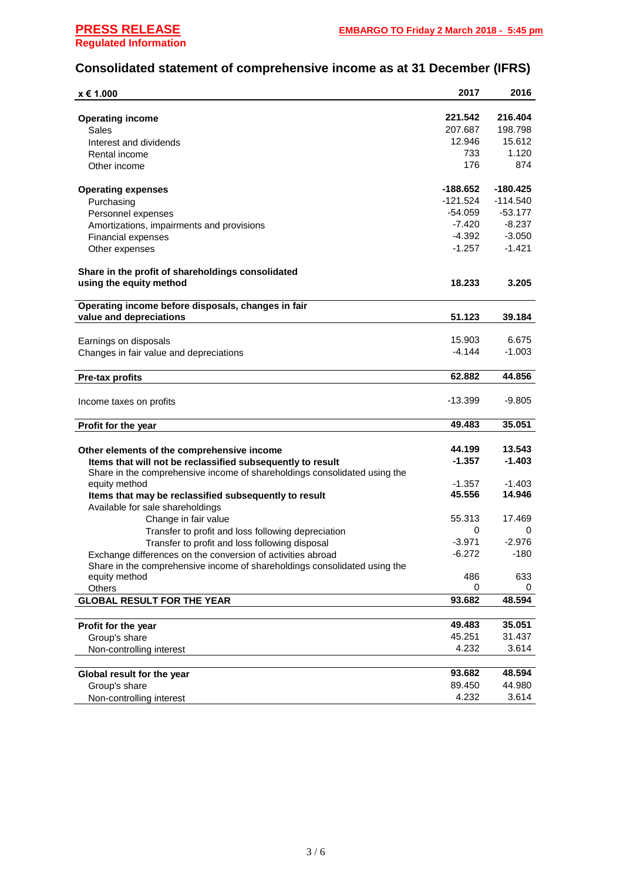# **Consolidated statement of comprehensive income as at 31 December (IFRS)**

| x € 1.000                                                                 | 2017       | 2016       |
|---------------------------------------------------------------------------|------------|------------|
|                                                                           |            |            |
| <b>Operating income</b>                                                   | 221.542    | 216.404    |
| Sales                                                                     | 207.687    | 198.798    |
| Interest and dividends                                                    | 12.946     | 15.612     |
| Rental income                                                             | 733        | 1.120      |
| Other income                                                              | 176        | 874        |
|                                                                           |            |            |
| <b>Operating expenses</b>                                                 | -188.652   | $-180.425$ |
| Purchasing                                                                | $-121.524$ | $-114.540$ |
| Personnel expenses                                                        | $-54.059$  | $-53.177$  |
| Amortizations, impairments and provisions                                 | -7.420     | $-8.237$   |
| <b>Financial expenses</b>                                                 | -4.392     | $-3.050$   |
| Other expenses                                                            | -1.257     | -1.421     |
|                                                                           |            |            |
| Share in the profit of shareholdings consolidated                         |            |            |
| using the equity method                                                   | 18.233     | 3.205      |
|                                                                           |            |            |
| Operating income before disposals, changes in fair                        |            |            |
| value and depreciations                                                   | 51.123     | 39.184     |
|                                                                           |            |            |
| Earnings on disposals                                                     | 15.903     | 6.675      |
| Changes in fair value and depreciations                                   | -4.144     | $-1.003$   |
|                                                                           |            |            |
| <b>Pre-tax profits</b>                                                    | 62.882     | 44.856     |
|                                                                           |            |            |
| Income taxes on profits                                                   | $-13.399$  | $-9.805$   |
|                                                                           |            |            |
| Profit for the year                                                       | 49.483     | 35.051     |
|                                                                           |            |            |
| Other elements of the comprehensive income                                | 44.199     | 13.543     |
| Items that will not be reclassified subsequently to result                | $-1.357$   | $-1.403$   |
| Share in the comprehensive income of shareholdings consolidated using the |            |            |
| equity method                                                             | $-1.357$   | $-1.403$   |
| Items that may be reclassified subsequently to result                     | 45.556     | 14.946     |
| Available for sale shareholdings                                          |            |            |
| Change in fair value                                                      | 55.313     | 17.469     |
| Transfer to profit and loss following depreciation                        | 0          | 0          |
| Transfer to profit and loss following disposal                            | $-3.971$   | $-2.976$   |
| Exchange differences on the conversion of activities abroad               | $-6.272$   | $-180$     |
| Share in the comprehensive income of shareholdings consolidated using the |            |            |
| equity method                                                             | 486        | 633        |
| Others                                                                    | 0          | 0          |
| <b>GLOBAL RESULT FOR THE YEAR</b>                                         | 93.682     | 48.594     |
|                                                                           |            |            |
| Profit for the year                                                       | 49.483     | 35.051     |
| Group's share                                                             | 45.251     | 31.437     |
| Non-controlling interest                                                  | 4.232      | 3.614      |
|                                                                           |            |            |
| Global result for the year                                                | 93.682     | 48.594     |
| Group's share                                                             | 89.450     | 44.980     |
| Non-controlling interest                                                  | 4.232      | 3.614      |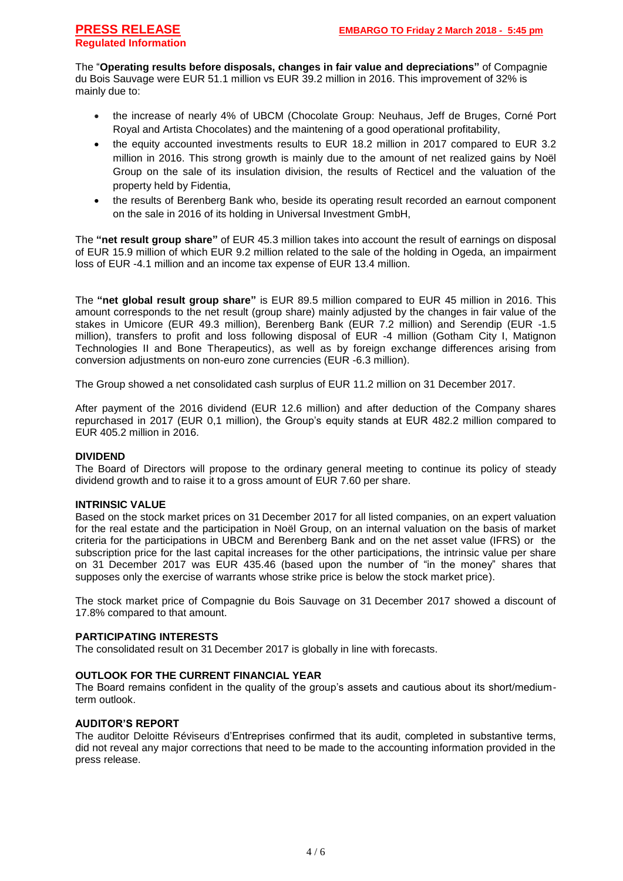The "**Operating results before disposals, changes in fair value and depreciations"** of Compagnie du Bois Sauvage were EUR 51.1 million vs EUR 39.2 million in 2016. This improvement of 32% is mainly due to:

- the increase of nearly 4% of UBCM (Chocolate Group: Neuhaus, Jeff de Bruges, Corné Port Royal and Artista Chocolates) and the maintening of a good operational profitability,
- the equity accounted investments results to EUR 18.2 million in 2017 compared to EUR 3.2 million in 2016. This strong growth is mainly due to the amount of net realized gains by Noël Group on the sale of its insulation division, the results of Recticel and the valuation of the property held by Fidentia,
- the results of Berenberg Bank who, beside its operating result recorded an earnout component on the sale in 2016 of its holding in Universal Investment GmbH,

The **"net result group share"** of EUR 45.3 million takes into account the result of earnings on disposal of EUR 15.9 million of which EUR 9.2 million related to the sale of the holding in Ogeda, an impairment loss of EUR -4.1 million and an income tax expense of EUR 13.4 million.

The **"net global result group share"** is EUR 89.5 million compared to EUR 45 million in 2016. This amount corresponds to the net result (group share) mainly adjusted by the changes in fair value of the stakes in Umicore (EUR 49.3 million), Berenberg Bank (EUR 7.2 million) and Serendip (EUR -1.5 million), transfers to profit and loss following disposal of EUR -4 million (Gotham City I, Matignon Technologies II and Bone Therapeutics), as well as by foreign exchange differences arising from conversion adjustments on non-euro zone currencies (EUR -6.3 million).

The Group showed a net consolidated cash surplus of EUR 11.2 million on 31 December 2017.

After payment of the 2016 dividend (EUR 12.6 million) and after deduction of the Company shares repurchased in 2017 (EUR 0,1 million), the Group's equity stands at EUR 482.2 million compared to EUR 405.2 million in 2016.

#### **DIVIDEND**

The Board of Directors will propose to the ordinary general meeting to continue its policy of steady dividend growth and to raise it to a gross amount of EUR 7.60 per share.

#### **INTRINSIC VALUE**

Based on the stock market prices on 31 December 2017 for all listed companies, on an expert valuation for the real estate and the participation in Noël Group, on an internal valuation on the basis of market criteria for the participations in UBCM and Berenberg Bank and on the net asset value (IFRS) or the subscription price for the last capital increases for the other participations, the intrinsic value per share on 31 December 2017 was EUR 435.46 (based upon the number of "in the money" shares that supposes only the exercise of warrants whose strike price is below the stock market price).

The stock market price of Compagnie du Bois Sauvage on 31 December 2017 showed a discount of 17.8% compared to that amount.

#### **PARTICIPATING INTERESTS**

The consolidated result on 31 December 2017 is globally in line with forecasts.

#### **OUTLOOK FOR THE CURRENT FINANCIAL YEAR**

The Board remains confident in the quality of the group's assets and cautious about its short/mediumterm outlook.

#### **AUDITOR'S REPORT**

The auditor Deloitte Réviseurs d'Entreprises confirmed that its audit, completed in substantive terms, did not reveal any major corrections that need to be made to the accounting information provided in the press release.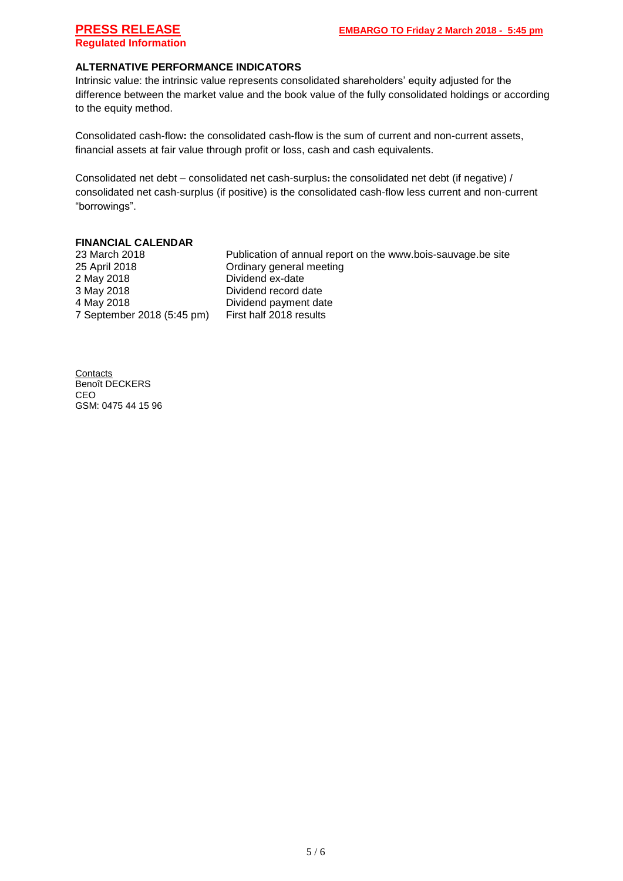### **ALTERNATIVE PERFORMANCE INDICATORS**

Intrinsic value: the intrinsic value represents consolidated shareholders' equity adjusted for the difference between the market value and the book value of the fully consolidated holdings or according to the equity method.

Consolidated cash-flow**:** the consolidated cash-flow is the sum of current and non-current assets, financial assets at fair value through profit or loss, cash and cash equivalents.

Consolidated net debt – consolidated net cash-surplus**:** the consolidated net debt (if negative) / consolidated net cash-surplus (if positive) is the consolidated cash-flow less current and non-current "borrowings".

#### **FINANCIAL CALENDAR**

25 April 2018 Ordinary general meeting 2 May 2018 Dividend ex-date 3 May 2018 Dividend record date 4 May 2018 Dividend payment date<br>7 September 2018 (5:45 pm) First half 2018 results 7 September 2018 (5:45 pm)

23 March 2018 Publication of annual report on the www.bois-sauvage.be site

**Contacts** Benoît DECKERS CEO GSM: 0475 44 15 96